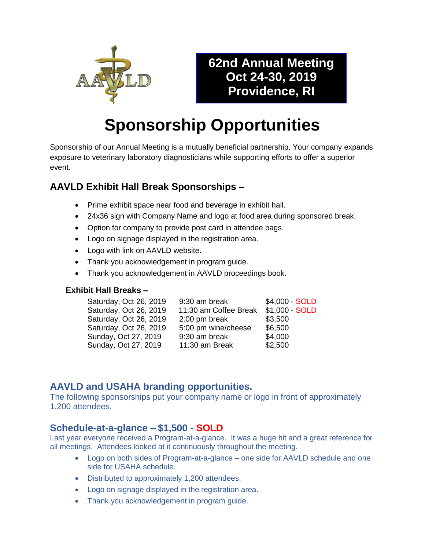

# **62nd Annual Meeting Oct 24-30, 2019 Providence, RI**

# **Sponsorship Opportunities**

Sponsorship of our Annual Meeting is a mutually beneficial partnership. Your company expands exposure to veterinary laboratory diagnosticians while supporting efforts to offer a superior event.

# **AAVLD Exhibit Hall Break Sponsorships –**

- Prime exhibit space near food and beverage in exhibit hall.
- 24x36 sign with Company Name and logo at food area during sponsored break.
- Option for company to provide post card in attendee bags.
- Logo on signage displayed in the registration area.
- Logo with link on AAVLD website.
- Thank you acknowledgement in program guide.
- Thank you acknowledgement in AAVLD proceedings book.

#### **Exhibit Hall Breaks –**

| Saturday, Oct 26, 2019 | 9:30 am break         | \$4,000 - SOLD |
|------------------------|-----------------------|----------------|
| Saturday, Oct 26, 2019 | 11:30 am Coffee Break | \$1,000 - SOLD |
| Saturday, Oct 26, 2019 | 2:00 pm break         | \$3,500        |
| Saturday, Oct 26, 2019 | 5:00 pm wine/cheese   | \$6,500        |
| Sunday, Oct 27, 2019   | 9:30 am break         | \$4,000        |
| Sunday, Oct 27, 2019   | 11:30 am Break        | \$2,500        |

# **AAVLD and USAHA branding opportunities.**

The following sponsorships put your company name or logo in front of approximately 1,200 attendees.

#### **Schedule-at-a-glance – \$1,500 - SOLD**

Last year everyone received a Program-at-a-glance. It was a huge hit and a great reference for all meetings. Attendees looked at it continuously throughout the meeting.

- Logo on both sides of Program-at-a-glance one side for AAVLD schedule and one side for USAHA schedule.
- Distributed to approximately 1,200 attendees.
- Logo on signage displayed in the registration area.
- Thank you acknowledgement in program guide.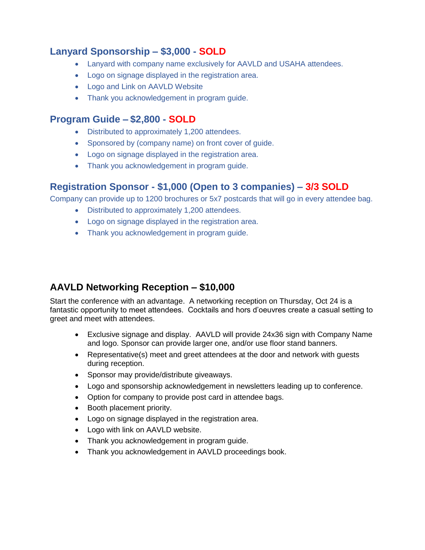#### **Lanyard Sponsorship – \$3,000 - SOLD**

- Lanyard with company name exclusively for AAVLD and USAHA attendees.
- Logo on signage displayed in the registration area.
- Logo and Link on AAVLD Website
- Thank you acknowledgement in program guide.

#### **Program Guide – \$2,800 - SOLD**

- Distributed to approximately 1,200 attendees.
- Sponsored by (company name) on front cover of guide.
- Logo on signage displayed in the registration area.
- Thank you acknowledgement in program guide.

#### **Registration Sponsor - \$1,000 (Open to 3 companies) – 3/3 SOLD**

Company can provide up to 1200 brochures or 5x7 postcards that will go in every attendee bag.

- Distributed to approximately 1,200 attendees.
- Logo on signage displayed in the registration area.
- Thank you acknowledgement in program guide.

# **AAVLD Networking Reception – \$10,000**

Start the conference with an advantage. A networking reception on Thursday, Oct 24 is a fantastic opportunity to meet attendees. Cocktails and hors d'oeuvres create a casual setting to greet and meet with attendees.

- Exclusive signage and display. AAVLD will provide 24x36 sign with Company Name and logo. Sponsor can provide larger one, and/or use floor stand banners.
- Representative(s) meet and greet attendees at the door and network with guests during reception.
- Sponsor may provide/distribute giveaways.
- Logo and sponsorship acknowledgement in newsletters leading up to conference.
- Option for company to provide post card in attendee bags.
- Booth placement priority.
- Logo on signage displayed in the registration area.
- Logo with link on AAVLD website.
- Thank you acknowledgement in program guide.
- Thank you acknowledgement in AAVLD proceedings book.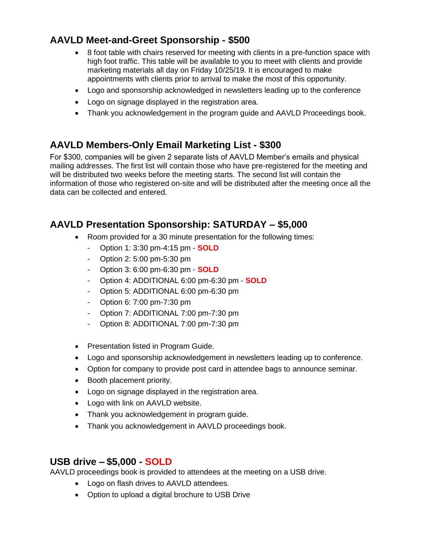# **AAVLD Meet-and-Greet Sponsorship - \$500**

- 8 foot table with chairs reserved for meeting with clients in a pre-function space with high foot traffic. This table will be available to you to meet with clients and provide marketing materials all day on Friday 10/25/19. It is encouraged to make appointments with clients prior to arrival to make the most of this opportunity.
- Logo and sponsorship acknowledged in newsletters leading up to the conference
- Logo on signage displayed in the registration area.
- Thank you acknowledgement in the program guide and AAVLD Proceedings book.

### **AAVLD Members-Only Email Marketing List - \$300**

For \$300, companies will be given 2 separate lists of AAVLD Member's emails and physical mailing addresses. The first list will contain those who have pre-registered for the meeting and will be distributed two weeks before the meeting starts. The second list will contain the information of those who registered on-site and will be distributed after the meeting once all the data can be collected and entered.

# **AAVLD Presentation Sponsorship: SATURDAY – \$5,000**

- Room provided for a 30 minute presentation for the following times:
	- Option 1: 3:30 pm-4:15 pm **SOLD**
	- Option 2: 5:00 pm-5:30 pm
	- Option 3: 6:00 pm-6:30 pm **SOLD**
	- Option 4: ADDITIONAL 6:00 pm-6:30 pm **SOLD**
	- Option 5: ADDITIONAL 6:00 pm-6:30 pm
	- Option 6: 7:00 pm-7:30 pm
	- Option 7: ADDITIONAL 7:00 pm-7:30 pm
	- Option 8: ADDITIONAL 7:00 pm-7:30 pm
- Presentation listed in Program Guide.
- Logo and sponsorship acknowledgement in newsletters leading up to conference.
- Option for company to provide post card in attendee bags to announce seminar.
- Booth placement priority.
- Logo on signage displayed in the registration area.
- Logo with link on AAVLD website.
- Thank you acknowledgement in program guide.
- Thank you acknowledgement in AAVLD proceedings book.

#### **USB drive – \$5,000 - SOLD**

AAVLD proceedings book is provided to attendees at the meeting on a USB drive.

- Logo on flash drives to AAVLD attendees.
- Option to upload a digital brochure to USB Drive